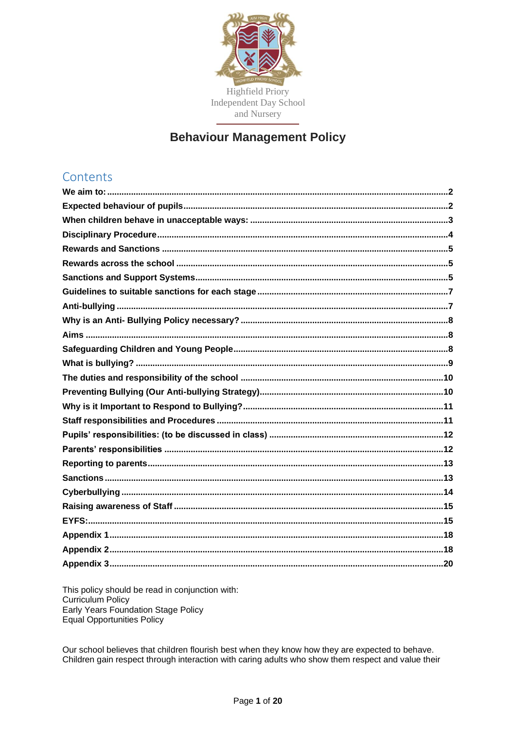

# **Behaviour Management Policy**

# Contents

This policy should be read in conjunction with: Curriculum Policy<br>Early Years Foundation Stage Policy Equal Opportunities Policy

Our school believes that children flourish best when they know how they are expected to behave. Children gain respect through interaction with caring adults who show them respect and value their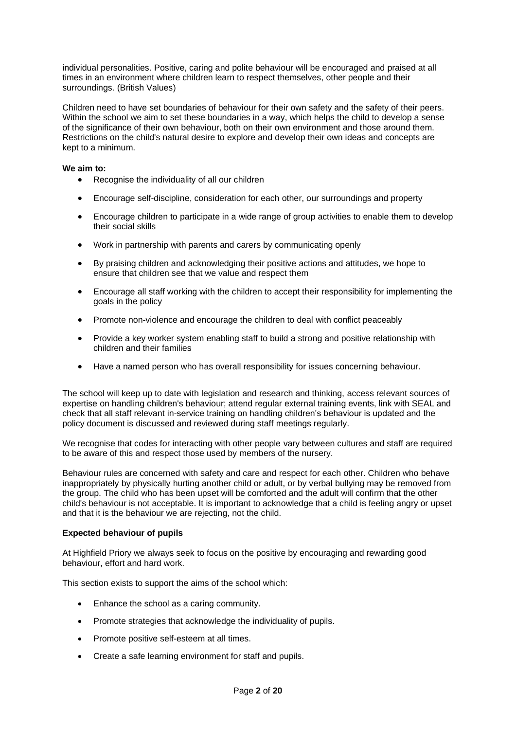individual personalities. Positive, caring and polite behaviour will be encouraged and praised at all times in an environment where children learn to respect themselves, other people and their surroundings. (British Values)

Children need to have set boundaries of behaviour for their own safety and the safety of their peers. Within the school we aim to set these boundaries in a way, which helps the child to develop a sense of the significance of their own behaviour, both on their own environment and those around them. Restrictions on the child's natural desire to explore and develop their own ideas and concepts are kept to a minimum.

# <span id="page-1-0"></span>**We aim to:**

- Recognise the individuality of all our children
- Encourage self-discipline, consideration for each other, our surroundings and property
- Encourage children to participate in a wide range of group activities to enable them to develop their social skills
- Work in partnership with parents and carers by communicating openly
- By praising children and acknowledging their positive actions and attitudes, we hope to ensure that children see that we value and respect them
- Encourage all staff working with the children to accept their responsibility for implementing the goals in the policy
- Promote non-violence and encourage the children to deal with conflict peaceably
- Provide a key worker system enabling staff to build a strong and positive relationship with children and their families
- Have a named person who has overall responsibility for issues concerning behaviour.

The school will keep up to date with legislation and research and thinking, access relevant sources of expertise on handling children's behaviour; attend regular external training events, link with SEAL and check that all staff relevant in-service training on handling children's behaviour is updated and the policy document is discussed and reviewed during staff meetings regularly.

We recognise that codes for interacting with other people vary between cultures and staff are required to be aware of this and respect those used by members of the nursery.

Behaviour rules are concerned with safety and care and respect for each other. Children who behave inappropriately by physically hurting another child or adult, or by verbal bullying may be removed from the group. The child who has been upset will be comforted and the adult will confirm that the other child's behaviour is not acceptable. It is important to acknowledge that a child is feeling angry or upset and that it is the behaviour we are rejecting, not the child.

## <span id="page-1-1"></span>**Expected behaviour of pupils**

At Highfield Priory we always seek to focus on the positive by encouraging and rewarding good behaviour, effort and hard work.

This section exists to support the aims of the school which:

- Enhance the school as a caring community.
- Promote strategies that acknowledge the individuality of pupils.
- Promote positive self-esteem at all times.
- Create a safe learning environment for staff and pupils.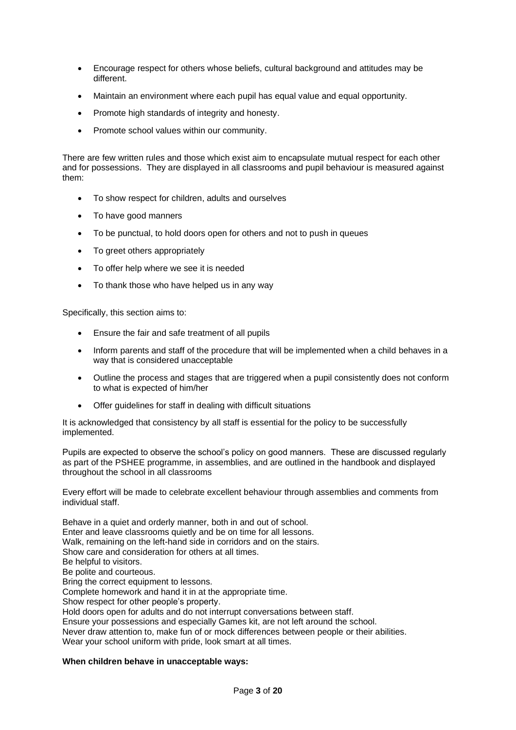- Encourage respect for others whose beliefs, cultural background and attitudes may be different.
- Maintain an environment where each pupil has equal value and equal opportunity.
- Promote high standards of integrity and honesty.
- Promote school values within our community.

There are few written rules and those which exist aim to encapsulate mutual respect for each other and for possessions. They are displayed in all classrooms and pupil behaviour is measured against them:

- To show respect for children, adults and ourselves
- To have good manners
- To be punctual, to hold doors open for others and not to push in queues
- To greet others appropriately
- To offer help where we see it is needed
- To thank those who have helped us in any way

Specifically, this section aims to:

- Ensure the fair and safe treatment of all pupils
- Inform parents and staff of the procedure that will be implemented when a child behaves in a way that is considered unacceptable
- Outline the process and stages that are triggered when a pupil consistently does not conform to what is expected of him/her
- Offer guidelines for staff in dealing with difficult situations

It is acknowledged that consistency by all staff is essential for the policy to be successfully implemented.

Pupils are expected to observe the school's policy on good manners. These are discussed regularly as part of the PSHEE programme, in assemblies, and are outlined in the handbook and displayed throughout the school in all classrooms

Every effort will be made to celebrate excellent behaviour through assemblies and comments from individual staff.

Behave in a quiet and orderly manner, both in and out of school. Enter and leave classrooms quietly and be on time for all lessons. Walk, remaining on the left-hand side in corridors and on the stairs. Show care and consideration for others at all times. Be helpful to visitors. Be polite and courteous. Bring the correct equipment to lessons. Complete homework and hand it in at the appropriate time. Show respect for other people's property. Hold doors open for adults and do not interrupt conversations between staff. Ensure your possessions and especially Games kit, are not left around the school. Never draw attention to, make fun of or mock differences between people or their abilities. Wear your school uniform with pride, look smart at all times.

## <span id="page-2-0"></span>**When children behave in unacceptable ways:**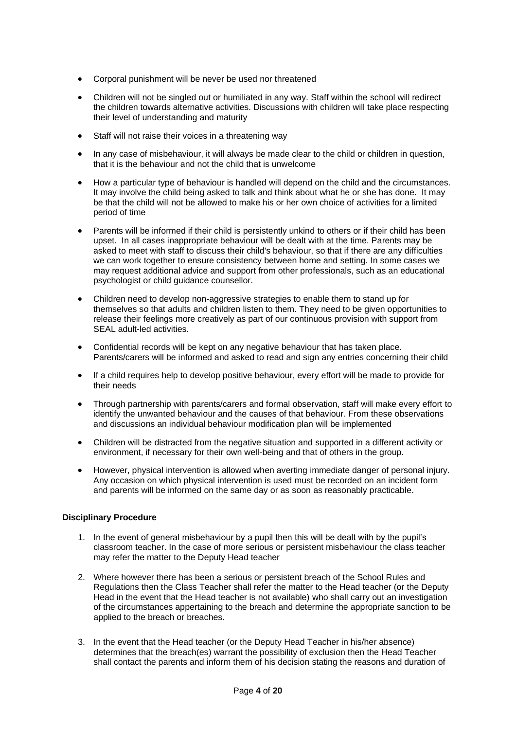- Corporal punishment will be never be used nor threatened
- Children will not be singled out or humiliated in any way. Staff within the school will redirect the children towards alternative activities. Discussions with children will take place respecting their level of understanding and maturity
- Staff will not raise their voices in a threatening way
- In any case of misbehaviour, it will always be made clear to the child or children in question, that it is the behaviour and not the child that is unwelcome
- How a particular type of behaviour is handled will depend on the child and the circumstances. It may involve the child being asked to talk and think about what he or she has done. It may be that the child will not be allowed to make his or her own choice of activities for a limited period of time
- Parents will be informed if their child is persistently unkind to others or if their child has been upset. In all cases inappropriate behaviour will be dealt with at the time. Parents may be asked to meet with staff to discuss their child's behaviour, so that if there are any difficulties we can work together to ensure consistency between home and setting. In some cases we may request additional advice and support from other professionals, such as an educational psychologist or child guidance counsellor.
- Children need to develop non-aggressive strategies to enable them to stand up for themselves so that adults and children listen to them. They need to be given opportunities to release their feelings more creatively as part of our continuous provision with support from SEAL adult-led activities.
- Confidential records will be kept on any negative behaviour that has taken place. Parents/carers will be informed and asked to read and sign any entries concerning their child
- If a child requires help to develop positive behaviour, every effort will be made to provide for their needs
- Through partnership with parents/carers and formal observation, staff will make every effort to identify the unwanted behaviour and the causes of that behaviour. From these observations and discussions an individual behaviour modification plan will be implemented
- Children will be distracted from the negative situation and supported in a different activity or environment, if necessary for their own well-being and that of others in the group.
- However, physical intervention is allowed when averting immediate danger of personal injury. Any occasion on which physical intervention is used must be recorded on an incident form and parents will be informed on the same day or as soon as reasonably practicable.

# <span id="page-3-0"></span>**Disciplinary Procedure**

- 1. In the event of general misbehaviour by a pupil then this will be dealt with by the pupil's classroom teacher. In the case of more serious or persistent misbehaviour the class teacher may refer the matter to the Deputy Head teacher
- 2. Where however there has been a serious or persistent breach of the School Rules and Regulations then the Class Teacher shall refer the matter to the Head teacher (or the Deputy Head in the event that the Head teacher is not available) who shall carry out an investigation of the circumstances appertaining to the breach and determine the appropriate sanction to be applied to the breach or breaches.
- 3. In the event that the Head teacher (or the Deputy Head Teacher in his/her absence) determines that the breach(es) warrant the possibility of exclusion then the Head Teacher shall contact the parents and inform them of his decision stating the reasons and duration of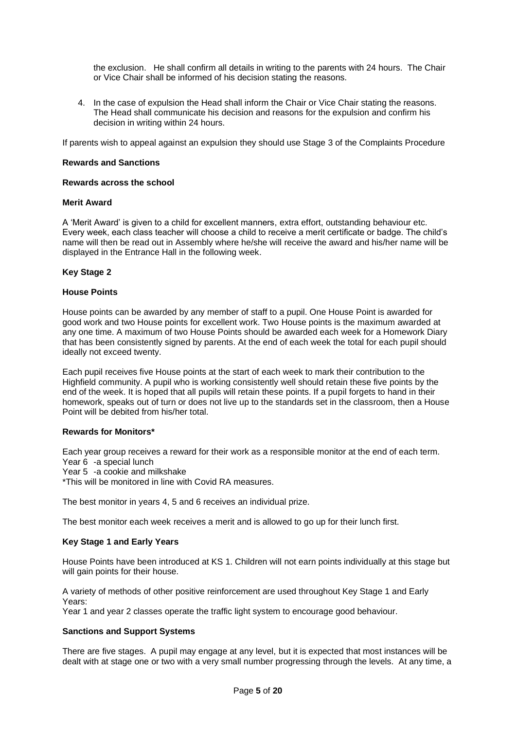the exclusion. He shall confirm all details in writing to the parents with 24 hours. The Chair or Vice Chair shall be informed of his decision stating the reasons.

4. In the case of expulsion the Head shall inform the Chair or Vice Chair stating the reasons. The Head shall communicate his decision and reasons for the expulsion and confirm his decision in writing within 24 hours.

If parents wish to appeal against an expulsion they should use Stage 3 of the Complaints Procedure

## <span id="page-4-0"></span>**Rewards and Sanctions**

## <span id="page-4-1"></span>**Rewards across the school**

## **Merit Award**

A 'Merit Award' is given to a child for excellent manners, extra effort, outstanding behaviour etc. Every week, each class teacher will choose a child to receive a merit certificate or badge. The child's name will then be read out in Assembly where he/she will receive the award and his/her name will be displayed in the Entrance Hall in the following week.

## **Key Stage 2**

## **House Points**

House points can be awarded by any member of staff to a pupil. One House Point is awarded for good work and two House points for excellent work. Two House points is the maximum awarded at any one time. A maximum of two House Points should be awarded each week for a Homework Diary that has been consistently signed by parents. At the end of each week the total for each pupil should ideally not exceed twenty.

Each pupil receives five House points at the start of each week to mark their contribution to the Highfield community. A pupil who is working consistently well should retain these five points by the end of the week. It is hoped that all pupils will retain these points. If a pupil forgets to hand in their homework, speaks out of turn or does not live up to the standards set in the classroom, then a House Point will be debited from his/her total.

## **Rewards for Monitors\***

Each year group receives a reward for their work as a responsible monitor at the end of each term. Year 6 -a special lunch

Year 5 -a cookie and milkshake

\*This will be monitored in line with Covid RA measures.

The best monitor in years 4, 5 and 6 receives an individual prize.

The best monitor each week receives a merit and is allowed to go up for their lunch first.

## **Key Stage 1 and Early Years**

House Points have been introduced at KS 1. Children will not earn points individually at this stage but will gain points for their house.

A variety of methods of other positive reinforcement are used throughout Key Stage 1 and Early Years:

Year 1 and year 2 classes operate the traffic light system to encourage good behaviour.

# <span id="page-4-2"></span>**Sanctions and Support Systems**

There are five stages. A pupil may engage at any level, but it is expected that most instances will be dealt with at stage one or two with a very small number progressing through the levels. At any time, a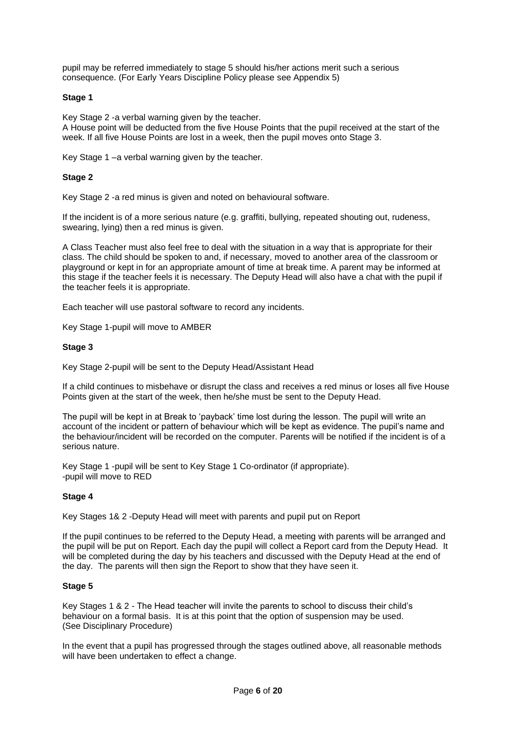pupil may be referred immediately to stage 5 should his/her actions merit such a serious consequence. (For Early Years Discipline Policy please see Appendix 5)

# **Stage 1**

Key Stage 2 -a verbal warning given by the teacher. A House point will be deducted from the five House Points that the pupil received at the start of the week. If all five House Points are lost in a week, then the pupil moves onto Stage 3.

Key Stage 1 –a verbal warning given by the teacher.

## **Stage 2**

Key Stage 2 -a red minus is given and noted on behavioural software.

If the incident is of a more serious nature (e.g. graffiti, bullying, repeated shouting out, rudeness, swearing, lying) then a red minus is given.

A Class Teacher must also feel free to deal with the situation in a way that is appropriate for their class. The child should be spoken to and, if necessary, moved to another area of the classroom or playground or kept in for an appropriate amount of time at break time. A parent may be informed at this stage if the teacher feels it is necessary. The Deputy Head will also have a chat with the pupil if the teacher feels it is appropriate.

Each teacher will use pastoral software to record any incidents.

Key Stage 1-pupil will move to AMBER

## **Stage 3**

Key Stage 2-pupil will be sent to the Deputy Head/Assistant Head

If a child continues to misbehave or disrupt the class and receives a red minus or loses all five House Points given at the start of the week, then he/she must be sent to the Deputy Head.

The pupil will be kept in at Break to 'payback' time lost during the lesson. The pupil will write an account of the incident or pattern of behaviour which will be kept as evidence. The pupil's name and the behaviour/incident will be recorded on the computer. Parents will be notified if the incident is of a serious nature.

Key Stage 1 -pupil will be sent to Key Stage 1 Co-ordinator (if appropriate). -pupil will move to RED

## **Stage 4**

Key Stages 1& 2 -Deputy Head will meet with parents and pupil put on Report

If the pupil continues to be referred to the Deputy Head, a meeting with parents will be arranged and the pupil will be put on Report. Each day the pupil will collect a Report card from the Deputy Head. It will be completed during the day by his teachers and discussed with the Deputy Head at the end of the day. The parents will then sign the Report to show that they have seen it.

## **Stage 5**

Key Stages 1 & 2 - The Head teacher will invite the parents to school to discuss their child's behaviour on a formal basis. It is at this point that the option of suspension may be used. (See Disciplinary Procedure)

In the event that a pupil has progressed through the stages outlined above, all reasonable methods will have been undertaken to effect a change.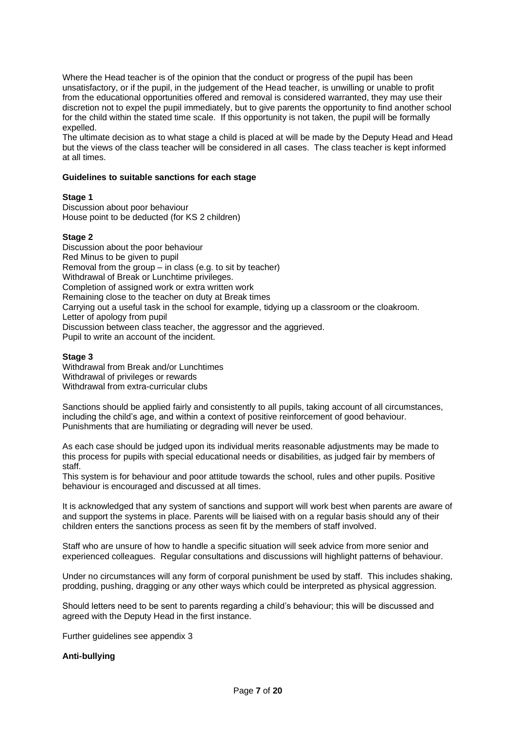Where the Head teacher is of the opinion that the conduct or progress of the pupil has been unsatisfactory, or if the pupil, in the judgement of the Head teacher, is unwilling or unable to profit from the educational opportunities offered and removal is considered warranted, they may use their discretion not to expel the pupil immediately, but to give parents the opportunity to find another school for the child within the stated time scale. If this opportunity is not taken, the pupil will be formally expelled.

The ultimate decision as to what stage a child is placed at will be made by the Deputy Head and Head but the views of the class teacher will be considered in all cases. The class teacher is kept informed at all times.

## <span id="page-6-0"></span>**Guidelines to suitable sanctions for each stage**

## **Stage 1**

Discussion about poor behaviour House point to be deducted (for KS 2 children)

## **Stage 2**

Discussion about the poor behaviour Red Minus to be given to pupil Removal from the group – in class (e.g. to sit by teacher) Withdrawal of Break or Lunchtime privileges. Completion of assigned work or extra written work Remaining close to the teacher on duty at Break times Carrying out a useful task in the school for example, tidying up a classroom or the cloakroom. Letter of apology from pupil Discussion between class teacher, the aggressor and the aggrieved. Pupil to write an account of the incident.

## **Stage 3**

Withdrawal from Break and/or Lunchtimes Withdrawal of privileges or rewards Withdrawal from extra-curricular clubs

Sanctions should be applied fairly and consistently to all pupils, taking account of all circumstances, including the child's age, and within a context of positive reinforcement of good behaviour. Punishments that are humiliating or degrading will never be used.

As each case should be judged upon its individual merits reasonable adjustments may be made to this process for pupils with special educational needs or disabilities, as judged fair by members of staff.

This system is for behaviour and poor attitude towards the school, rules and other pupils. Positive behaviour is encouraged and discussed at all times.

It is acknowledged that any system of sanctions and support will work best when parents are aware of and support the systems in place. Parents will be liaised with on a regular basis should any of their children enters the sanctions process as seen fit by the members of staff involved.

Staff who are unsure of how to handle a specific situation will seek advice from more senior and experienced colleagues. Regular consultations and discussions will highlight patterns of behaviour.

Under no circumstances will any form of corporal punishment be used by staff. This includes shaking, prodding, pushing, dragging or any other ways which could be interpreted as physical aggression.

Should letters need to be sent to parents regarding a child's behaviour; this will be discussed and agreed with the Deputy Head in the first instance.

Further guidelines see appendix 3

## <span id="page-6-1"></span>**Anti-bullying**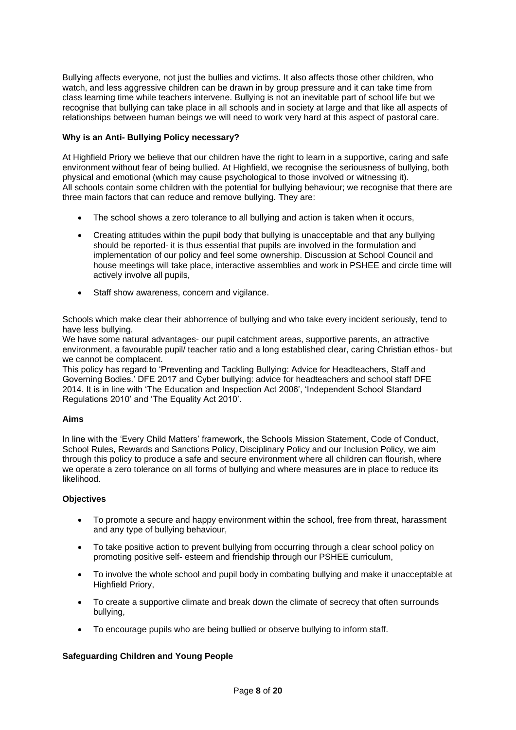Bullying affects everyone, not just the bullies and victims. It also affects those other children, who watch, and less aggressive children can be drawn in by group pressure and it can take time from class learning time while teachers intervene. Bullying is not an inevitable part of school life but we recognise that bullying can take place in all schools and in society at large and that like all aspects of relationships between human beings we will need to work very hard at this aspect of pastoral care.

# <span id="page-7-0"></span>**Why is an Anti- Bullying Policy necessary?**

At Highfield Priory we believe that our children have the right to learn in a supportive, caring and safe environment without fear of being bullied. At Highfield, we recognise the seriousness of bullying, both physical and emotional (which may cause psychological to those involved or witnessing it). All schools contain some children with the potential for bullying behaviour; we recognise that there are three main factors that can reduce and remove bullying. They are:

- The school shows a zero tolerance to all bullying and action is taken when it occurs,
- Creating attitudes within the pupil body that bullying is unacceptable and that any bullying should be reported- it is thus essential that pupils are involved in the formulation and implementation of our policy and feel some ownership. Discussion at School Council and house meetings will take place, interactive assemblies and work in PSHEE and circle time will actively involve all pupils,
- Staff show awareness, concern and vigilance.

Schools which make clear their abhorrence of bullying and who take every incident seriously, tend to have less bullying.

We have some natural advantages- our pupil catchment areas, supportive parents, an attractive environment, a favourable pupil/ teacher ratio and a long established clear, caring Christian ethos- but we cannot be complacent.

This policy has regard to 'Preventing and Tackling Bullying: Advice for Headteachers, Staff and Governing Bodies.' DFE 2017 and Cyber bullying: advice for headteachers and school staff DFE 2014. It is in line with 'The Education and Inspection Act 2006', 'Independent School Standard Regulations 2010' and 'The Equality Act 2010'.

# <span id="page-7-1"></span>**Aims**

In line with the 'Every Child Matters' framework, the Schools Mission Statement, Code of Conduct, School Rules, Rewards and Sanctions Policy, Disciplinary Policy and our Inclusion Policy, we aim through this policy to produce a safe and secure environment where all children can flourish, where we operate a zero tolerance on all forms of bullying and where measures are in place to reduce its likelihood.

# **Objectives**

- To promote a secure and happy environment within the school, free from threat, harassment and any type of bullying behaviour,
- To take positive action to prevent bullying from occurring through a clear school policy on promoting positive self- esteem and friendship through our PSHEE curriculum,
- To involve the whole school and pupil body in combating bullying and make it unacceptable at Highfield Priory,
- To create a supportive climate and break down the climate of secrecy that often surrounds bullying,
- To encourage pupils who are being bullied or observe bullying to inform staff.

# <span id="page-7-2"></span>**Safeguarding Children and Young People**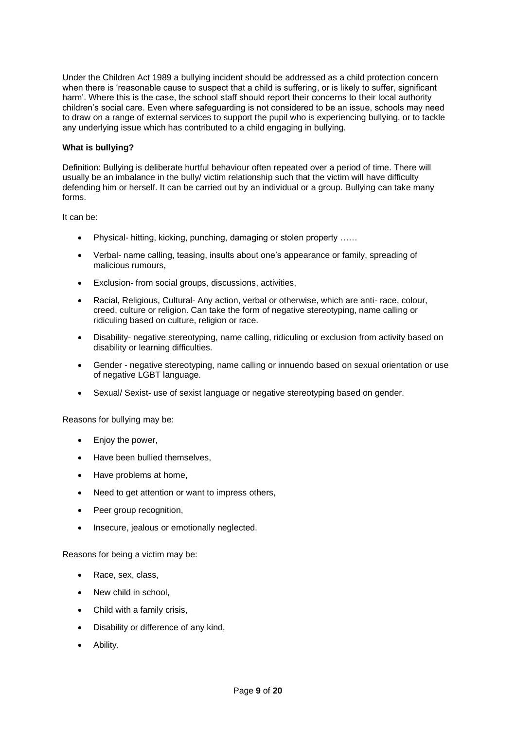Under the Children Act 1989 a bullying incident should be addressed as a child protection concern when there is 'reasonable cause to suspect that a child is suffering, or is likely to suffer, significant harm'. Where this is the case, the school staff should report their concerns to their local authority children's social care. Even where safeguarding is not considered to be an issue, schools may need to draw on a range of external services to support the pupil who is experiencing bullying, or to tackle any underlying issue which has contributed to a child engaging in bullying.

# <span id="page-8-0"></span>**What is bullying?**

Definition: Bullying is deliberate hurtful behaviour often repeated over a period of time. There will usually be an imbalance in the bully/ victim relationship such that the victim will have difficulty defending him or herself. It can be carried out by an individual or a group. Bullying can take many forms.

It can be:

- Physical- hitting, kicking, punching, damaging or stolen property ……
- Verbal- name calling, teasing, insults about one's appearance or family, spreading of malicious rumours,
- Exclusion- from social groups, discussions, activities,
- Racial, Religious, Cultural- Any action, verbal or otherwise, which are anti- race, colour, creed, culture or religion. Can take the form of negative stereotyping, name calling or ridiculing based on culture, religion or race.
- Disability- negative stereotyping, name calling, ridiculing or exclusion from activity based on disability or learning difficulties.
- Gender negative stereotyping, name calling or innuendo based on sexual orientation or use of negative LGBT language.
- Sexual/ Sexist- use of sexist language or negative stereotyping based on gender.

Reasons for bullying may be:

- Enjoy the power,
- Have been bullied themselves,
- Have problems at home.
- Need to get attention or want to impress others,
- Peer group recognition.
- Insecure, jealous or emotionally neglected.

Reasons for being a victim may be:

- Race, sex, class,
- New child in school,
- Child with a family crisis,
- Disability or difference of any kind,
- Ability.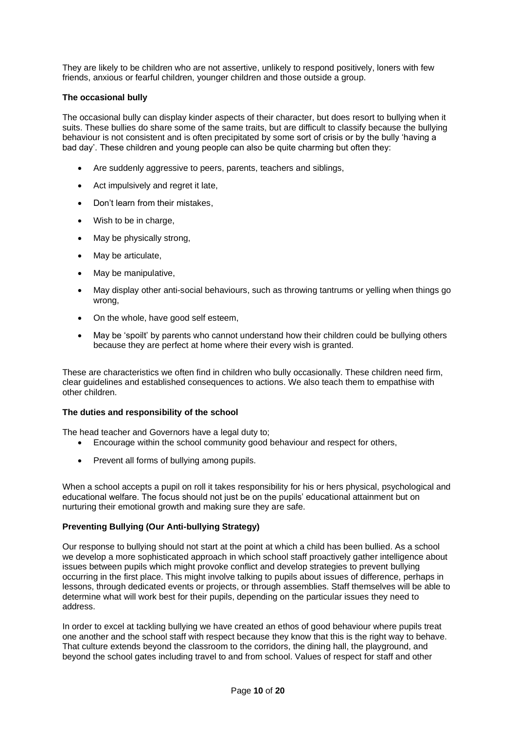They are likely to be children who are not assertive, unlikely to respond positively, loners with few friends, anxious or fearful children, younger children and those outside a group.

## **The occasional bully**

The occasional bully can display kinder aspects of their character, but does resort to bullying when it suits. These bullies do share some of the same traits, but are difficult to classify because the bullying behaviour is not consistent and is often precipitated by some sort of crisis or by the bully 'having a bad day'. These children and young people can also be quite charming but often they:

- Are suddenly aggressive to peers, parents, teachers and siblings,
- Act impulsively and regret it late,
- Don't learn from their mistakes,
- Wish to be in charge,
- May be physically strong,
- May be articulate,
- May be manipulative,
- May display other anti-social behaviours, such as throwing tantrums or yelling when things go wrong,
- On the whole, have good self esteem,
- May be 'spoilt' by parents who cannot understand how their children could be bullying others because they are perfect at home where their every wish is granted.

These are characteristics we often find in children who bully occasionally. These children need firm, clear guidelines and established consequences to actions. We also teach them to empathise with other children.

## <span id="page-9-0"></span>**The duties and responsibility of the school**

The head teacher and Governors have a legal duty to;

- Encourage within the school community good behaviour and respect for others,
- Prevent all forms of bullying among pupils.

When a school accepts a pupil on roll it takes responsibility for his or hers physical, psychological and educational welfare. The focus should not just be on the pupils' educational attainment but on nurturing their emotional growth and making sure they are safe.

## <span id="page-9-1"></span>**Preventing Bullying (Our Anti-bullying Strategy)**

Our response to bullying should not start at the point at which a child has been bullied. As a school we develop a more sophisticated approach in which school staff proactively gather intelligence about issues between pupils which might provoke conflict and develop strategies to prevent bullying occurring in the first place. This might involve talking to pupils about issues of difference, perhaps in lessons, through dedicated events or projects, or through assemblies. Staff themselves will be able to determine what will work best for their pupils, depending on the particular issues they need to address.

In order to excel at tackling bullying we have created an ethos of good behaviour where pupils treat one another and the school staff with respect because they know that this is the right way to behave. That culture extends beyond the classroom to the corridors, the dining hall, the playground, and beyond the school gates including travel to and from school. Values of respect for staff and other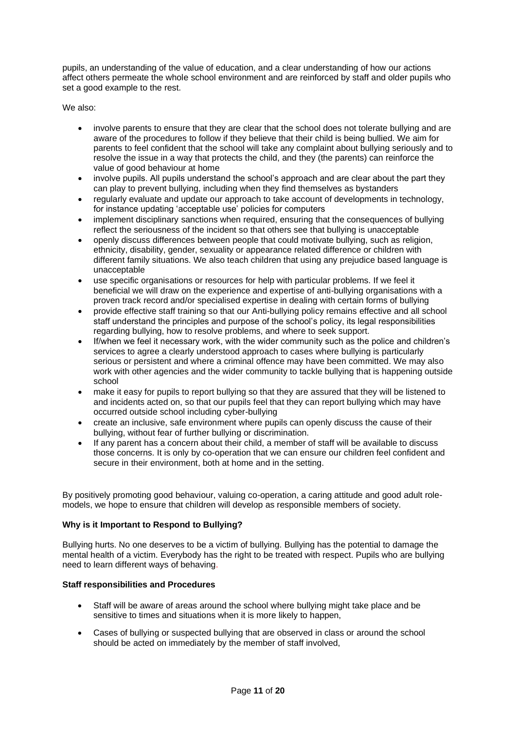pupils, an understanding of the value of education, and a clear understanding of how our actions affect others permeate the whole school environment and are reinforced by staff and older pupils who set a good example to the rest.

We also:

- involve parents to ensure that they are clear that the school does not tolerate bullying and are aware of the procedures to follow if they believe that their child is being bullied. We aim for parents to feel confident that the school will take any complaint about bullying seriously and to resolve the issue in a way that protects the child, and they (the parents) can reinforce the value of good behaviour at home
- involve pupils. All pupils understand the school's approach and are clear about the part they can play to prevent bullying, including when they find themselves as bystanders
- regularly evaluate and update our approach to take account of developments in technology, for instance updating 'acceptable use' policies for computers
- implement disciplinary sanctions when required, ensuring that the consequences of bullying reflect the seriousness of the incident so that others see that bullying is unacceptable
- openly discuss differences between people that could motivate bullying, such as religion, ethnicity, disability, gender, sexuality or appearance related difference or children with different family situations. We also teach children that using any prejudice based language is unacceptable
- use specific organisations or resources for help with particular problems. If we feel it beneficial we will draw on the experience and expertise of anti-bullying organisations with a proven track record and/or specialised expertise in dealing with certain forms of bullying
- provide effective staff training so that our Anti-bullying policy remains effective and all school staff understand the principles and purpose of the school's policy, its legal responsibilities regarding bullying, how to resolve problems, and where to seek support.
- If/when we feel it necessary work, with the wider community such as the police and children's services to agree a clearly understood approach to cases where bullying is particularly serious or persistent and where a criminal offence may have been committed. We may also work with other agencies and the wider community to tackle bullying that is happening outside school
- make it easy for pupils to report bullying so that they are assured that they will be listened to and incidents acted on, so that our pupils feel that they can report bullying which may have occurred outside school including cyber-bullying
- create an inclusive, safe environment where pupils can openly discuss the cause of their bullying, without fear of further bullying or discrimination.
- If any parent has a concern about their child, a member of staff will be available to discuss those concerns. It is only by co-operation that we can ensure our children feel confident and secure in their environment, both at home and in the setting.

By positively promoting good behaviour, valuing co-operation, a caring attitude and good adult rolemodels, we hope to ensure that children will develop as responsible members of society.

# <span id="page-10-0"></span>**Why is it Important to Respond to Bullying?**

Bullying hurts. No one deserves to be a victim of bullying. Bullying has the potential to damage the mental health of a victim. Everybody has the right to be treated with respect. Pupils who are bullying need to learn different ways of behaving.

# <span id="page-10-1"></span>**Staff responsibilities and Procedures**

- Staff will be aware of areas around the school where bullying might take place and be sensitive to times and situations when it is more likely to happen.
- Cases of bullying or suspected bullying that are observed in class or around the school should be acted on immediately by the member of staff involved,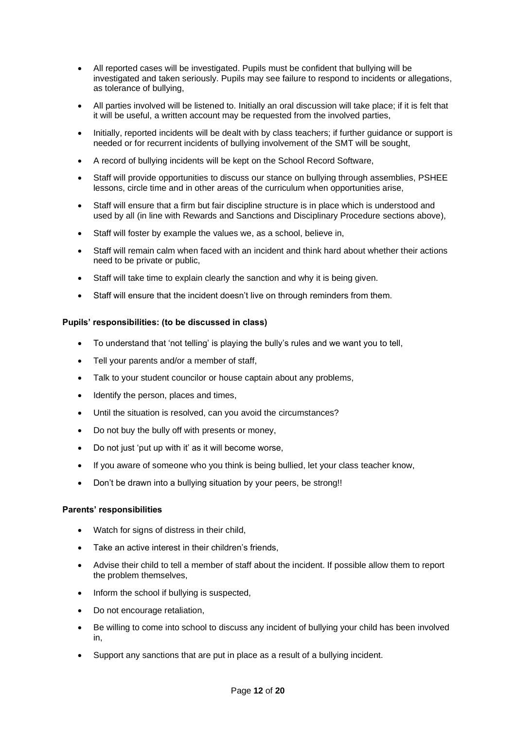- All reported cases will be investigated. Pupils must be confident that bullying will be investigated and taken seriously. Pupils may see failure to respond to incidents or allegations, as tolerance of bullying,
- All parties involved will be listened to. Initially an oral discussion will take place; if it is felt that it will be useful, a written account may be requested from the involved parties,
- Initially, reported incidents will be dealt with by class teachers; if further guidance or support is needed or for recurrent incidents of bullying involvement of the SMT will be sought,
- A record of bullying incidents will be kept on the School Record Software,
- Staff will provide opportunities to discuss our stance on bullying through assemblies, PSHEE lessons, circle time and in other areas of the curriculum when opportunities arise,
- Staff will ensure that a firm but fair discipline structure is in place which is understood and used by all (in line with Rewards and Sanctions and Disciplinary Procedure sections above),
- Staff will foster by example the values we, as a school, believe in,
- Staff will remain calm when faced with an incident and think hard about whether their actions need to be private or public,
- Staff will take time to explain clearly the sanction and why it is being given.
- Staff will ensure that the incident doesn't live on through reminders from them.

## <span id="page-11-0"></span>**Pupils' responsibilities: (to be discussed in class)**

- To understand that 'not telling' is playing the bully's rules and we want you to tell,
- Tell your parents and/or a member of staff.
- Talk to your student councilor or house captain about any problems,
- Identify the person, places and times,
- Until the situation is resolved, can you avoid the circumstances?
- Do not buy the bully off with presents or money,
- Do not just 'put up with it' as it will become worse,
- If you aware of someone who you think is being bullied, let your class teacher know,
- Don't be drawn into a bullying situation by your peers, be strong!

## <span id="page-11-1"></span>**Parents' responsibilities**

- Watch for signs of distress in their child.
- Take an active interest in their children's friends,
- Advise their child to tell a member of staff about the incident. If possible allow them to report the problem themselves,
- Inform the school if bullying is suspected,
- Do not encourage retaliation,
- Be willing to come into school to discuss any incident of bullying your child has been involved in,
- Support any sanctions that are put in place as a result of a bullying incident.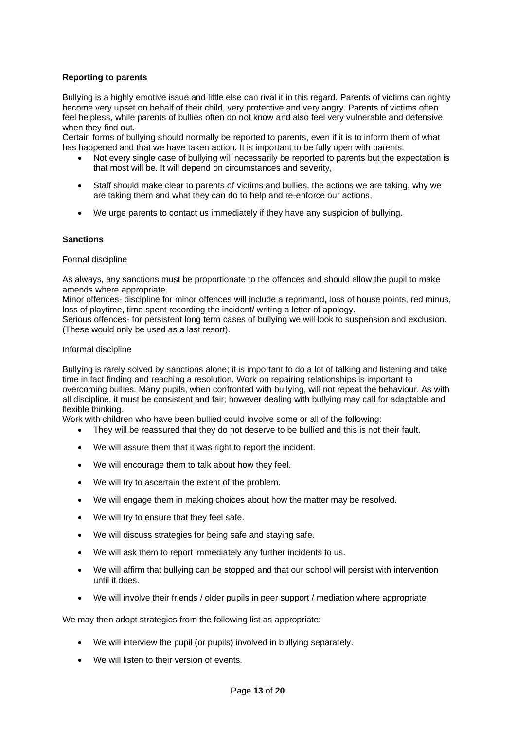# <span id="page-12-0"></span>**Reporting to parents**

Bullying is a highly emotive issue and little else can rival it in this regard. Parents of victims can rightly become very upset on behalf of their child, very protective and very angry. Parents of victims often feel helpless, while parents of bullies often do not know and also feel very vulnerable and defensive when they find out.

Certain forms of bullying should normally be reported to parents, even if it is to inform them of what has happened and that we have taken action. It is important to be fully open with parents.

- Not every single case of bullying will necessarily be reported to parents but the expectation is that most will be. It will depend on circumstances and severity,
- Staff should make clear to parents of victims and bullies, the actions we are taking, why we are taking them and what they can do to help and re-enforce our actions,
- We urge parents to contact us immediately if they have any suspicion of bullying.

## <span id="page-12-1"></span>**Sanctions**

## Formal discipline

As always, any sanctions must be proportionate to the offences and should allow the pupil to make amends where appropriate.

Minor offences- discipline for minor offences will include a reprimand, loss of house points, red minus, loss of playtime, time spent recording the incident/ writing a letter of apology.

Serious offences- for persistent long term cases of bullying we will look to suspension and exclusion. (These would only be used as a last resort).

## Informal discipline

Bullying is rarely solved by sanctions alone; it is important to do a lot of talking and listening and take time in fact finding and reaching a resolution. Work on repairing relationships is important to overcoming bullies. Many pupils, when confronted with bullying, will not repeat the behaviour. As with all discipline, it must be consistent and fair; however dealing with bullying may call for adaptable and flexible thinking.

Work with children who have been bullied could involve some or all of the following:

- They will be reassured that they do not deserve to be bullied and this is not their fault.
- We will assure them that it was right to report the incident.
- We will encourage them to talk about how they feel.
- We will try to ascertain the extent of the problem.
- We will engage them in making choices about how the matter may be resolved.
- We will try to ensure that they feel safe.
- We will discuss strategies for being safe and staying safe.
- We will ask them to report immediately any further incidents to us.
- We will affirm that bullying can be stopped and that our school will persist with intervention until it does.
- We will involve their friends / older pupils in peer support / mediation where appropriate

We may then adopt strategies from the following list as appropriate:

- We will interview the pupil (or pupils) involved in bullying separately.
- We will listen to their version of events.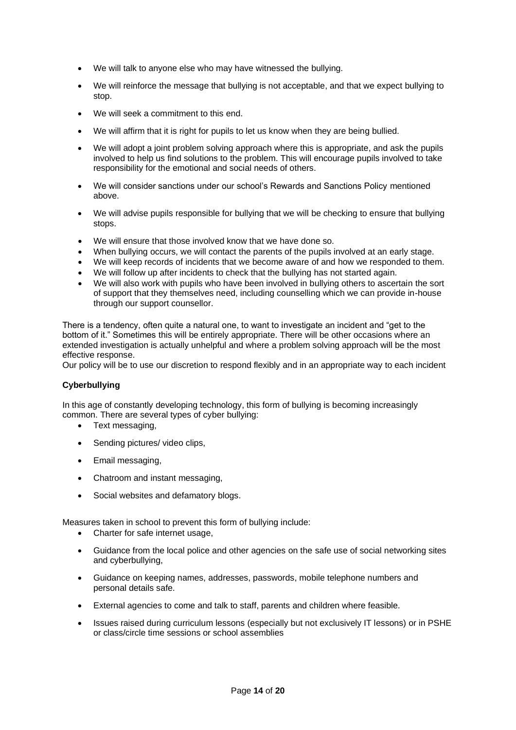- We will talk to anyone else who may have witnessed the bullying.
- We will reinforce the message that bullying is not acceptable, and that we expect bullying to stop.
- We will seek a commitment to this end.
- We will affirm that it is right for pupils to let us know when they are being bullied.
- We will adopt a joint problem solving approach where this is appropriate, and ask the pupils involved to help us find solutions to the problem. This will encourage pupils involved to take responsibility for the emotional and social needs of others.
- We will consider sanctions under our school's Rewards and Sanctions Policy mentioned above.
- We will advise pupils responsible for bullying that we will be checking to ensure that bullying stops.
- We will ensure that those involved know that we have done so.
- When bullying occurs, we will contact the parents of the pupils involved at an early stage.
- We will keep records of incidents that we become aware of and how we responded to them.
- We will follow up after incidents to check that the bullying has not started again.
- We will also work with pupils who have been involved in bullying others to ascertain the sort of support that they themselves need, including counselling which we can provide in-house through our support counsellor.

There is a tendency, often quite a natural one, to want to investigate an incident and "get to the bottom of it." Sometimes this will be entirely appropriate. There will be other occasions where an extended investigation is actually unhelpful and where a problem solving approach will be the most effective response.

Our policy will be to use our discretion to respond flexibly and in an appropriate way to each incident

# <span id="page-13-0"></span>**Cyberbullying**

In this age of constantly developing technology, this form of bullying is becoming increasingly common. There are several types of cyber bullying:

- Text messaging,
- Sending pictures/ video clips,
- Email messaging,
- Chatroom and instant messaging,
- Social websites and defamatory blogs.

Measures taken in school to prevent this form of bullying include:

- Charter for safe internet usage,
- Guidance from the local police and other agencies on the safe use of social networking sites and cyberbullying,
- Guidance on keeping names, addresses, passwords, mobile telephone numbers and personal details safe.
- External agencies to come and talk to staff, parents and children where feasible.
- Issues raised during curriculum lessons (especially but not exclusively IT lessons) or in PSHE or class/circle time sessions or school assemblies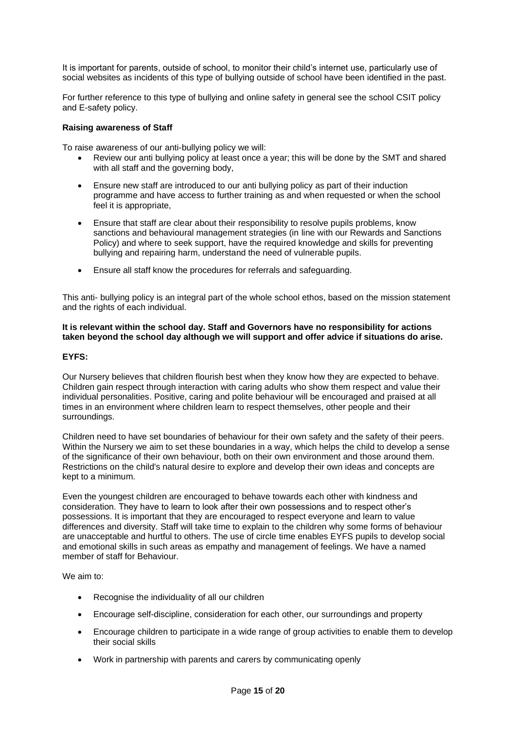It is important for parents, outside of school, to monitor their child's internet use, particularly use of social websites as incidents of this type of bullying outside of school have been identified in the past.

For further reference to this type of bullying and online safety in general see the school CSIT policy and E-safety policy.

## <span id="page-14-0"></span>**Raising awareness of Staff**

To raise awareness of our anti-bullying policy we will:

- Review our anti bullying policy at least once a year; this will be done by the SMT and shared with all staff and the governing body,
- Ensure new staff are introduced to our anti bullying policy as part of their induction programme and have access to further training as and when requested or when the school feel it is appropriate,
- Ensure that staff are clear about their responsibility to resolve pupils problems, know sanctions and behavioural management strategies (in line with our Rewards and Sanctions Policy) and where to seek support, have the required knowledge and skills for preventing bullying and repairing harm, understand the need of vulnerable pupils.
- Ensure all staff know the procedures for referrals and safeguarding.

This anti- bullying policy is an integral part of the whole school ethos, based on the mission statement and the rights of each individual.

## **It is relevant within the school day. Staff and Governors have no responsibility for actions taken beyond the school day although we will support and offer advice if situations do arise.**

# <span id="page-14-1"></span>**EYFS:**

Our Nursery believes that children flourish best when they know how they are expected to behave. Children gain respect through interaction with caring adults who show them respect and value their individual personalities. Positive, caring and polite behaviour will be encouraged and praised at all times in an environment where children learn to respect themselves, other people and their surroundings.

Children need to have set boundaries of behaviour for their own safety and the safety of their peers. Within the Nursery we aim to set these boundaries in a way, which helps the child to develop a sense of the significance of their own behaviour, both on their own environment and those around them. Restrictions on the child's natural desire to explore and develop their own ideas and concepts are kept to a minimum.

Even the youngest children are encouraged to behave towards each other with kindness and consideration. They have to learn to look after their own possessions and to respect other's possessions. It is important that they are encouraged to respect everyone and learn to value differences and diversity. Staff will take time to explain to the children why some forms of behaviour are unacceptable and hurtful to others. The use of circle time enables EYFS pupils to develop social and emotional skills in such areas as empathy and management of feelings. We have a named member of staff for Behaviour.

We aim to:

- Recognise the individuality of all our children
- Encourage self-discipline, consideration for each other, our surroundings and property
- Encourage children to participate in a wide range of group activities to enable them to develop their social skills
- Work in partnership with parents and carers by communicating openly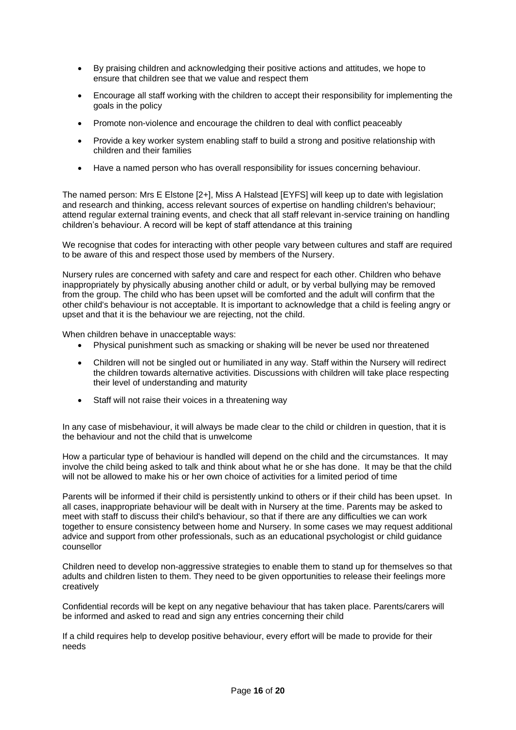- By praising children and acknowledging their positive actions and attitudes, we hope to ensure that children see that we value and respect them
- Encourage all staff working with the children to accept their responsibility for implementing the goals in the policy
- Promote non-violence and encourage the children to deal with conflict peaceably
- Provide a key worker system enabling staff to build a strong and positive relationship with children and their families
- Have a named person who has overall responsibility for issues concerning behaviour.

The named person: Mrs E Elstone [2+], Miss A Halstead [EYFS] will keep up to date with legislation and research and thinking, access relevant sources of expertise on handling children's behaviour; attend regular external training events, and check that all staff relevant in-service training on handling children's behaviour. A record will be kept of staff attendance at this training

We recognise that codes for interacting with other people vary between cultures and staff are required to be aware of this and respect those used by members of the Nursery.

Nursery rules are concerned with safety and care and respect for each other. Children who behave inappropriately by physically abusing another child or adult, or by verbal bullying may be removed from the group. The child who has been upset will be comforted and the adult will confirm that the other child's behaviour is not acceptable. It is important to acknowledge that a child is feeling angry or upset and that it is the behaviour we are rejecting, not the child.

When children behave in unacceptable ways:

- Physical punishment such as smacking or shaking will be never be used nor threatened
- Children will not be singled out or humiliated in any way. Staff within the Nursery will redirect the children towards alternative activities. Discussions with children will take place respecting their level of understanding and maturity
- Staff will not raise their voices in a threatening way

In any case of misbehaviour, it will always be made clear to the child or children in question, that it is the behaviour and not the child that is unwelcome

How a particular type of behaviour is handled will depend on the child and the circumstances. It may involve the child being asked to talk and think about what he or she has done. It may be that the child will not be allowed to make his or her own choice of activities for a limited period of time

Parents will be informed if their child is persistently unkind to others or if their child has been upset. In all cases, inappropriate behaviour will be dealt with in Nursery at the time. Parents may be asked to meet with staff to discuss their child's behaviour, so that if there are any difficulties we can work together to ensure consistency between home and Nursery. In some cases we may request additional advice and support from other professionals, such as an educational psychologist or child guidance counsellor

Children need to develop non-aggressive strategies to enable them to stand up for themselves so that adults and children listen to them. They need to be given opportunities to release their feelings more creatively

Confidential records will be kept on any negative behaviour that has taken place. Parents/carers will be informed and asked to read and sign any entries concerning their child

If a child requires help to develop positive behaviour, every effort will be made to provide for their needs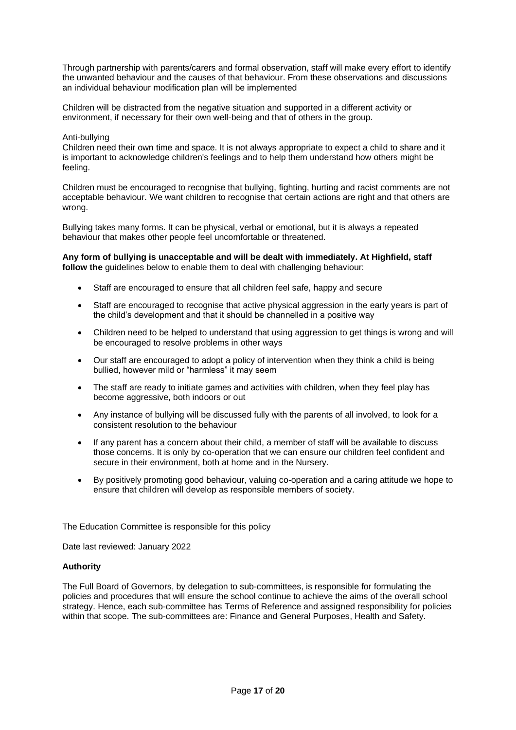Through partnership with parents/carers and formal observation, staff will make every effort to identify the unwanted behaviour and the causes of that behaviour. From these observations and discussions an individual behaviour modification plan will be implemented

Children will be distracted from the negative situation and supported in a different activity or environment, if necessary for their own well-being and that of others in the group.

## Anti-bullying

Children need their own time and space. It is not always appropriate to expect a child to share and it is important to acknowledge children's feelings and to help them understand how others might be feeling.

Children must be encouraged to recognise that bullying, fighting, hurting and racist comments are not acceptable behaviour. We want children to recognise that certain actions are right and that others are wrong.

Bullying takes many forms. It can be physical, verbal or emotional, but it is always a repeated behaviour that makes other people feel uncomfortable or threatened.

**Any form of bullying is unacceptable and will be dealt with immediately. At Highfield, staff follow the** guidelines below to enable them to deal with challenging behaviour:

- Staff are encouraged to ensure that all children feel safe, happy and secure
- Staff are encouraged to recognise that active physical aggression in the early years is part of the child's development and that it should be channelled in a positive way
- Children need to be helped to understand that using aggression to get things is wrong and will be encouraged to resolve problems in other ways
- Our staff are encouraged to adopt a policy of intervention when they think a child is being bullied, however mild or "harmless" it may seem
- The staff are ready to initiate games and activities with children, when they feel play has become aggressive, both indoors or out
- Any instance of bullying will be discussed fully with the parents of all involved, to look for a consistent resolution to the behaviour
- If any parent has a concern about their child, a member of staff will be available to discuss those concerns. It is only by co-operation that we can ensure our children feel confident and secure in their environment, both at home and in the Nursery.
- By positively promoting good behaviour, valuing co-operation and a caring attitude we hope to ensure that children will develop as responsible members of society.

The Education Committee is responsible for this policy

Date last reviewed: January 2022

## **Authority**

The Full Board of Governors, by delegation to sub-committees, is responsible for formulating the policies and procedures that will ensure the school continue to achieve the aims of the overall school strategy. Hence, each sub-committee has Terms of Reference and assigned responsibility for policies within that scope. The sub-committees are: Finance and General Purposes, Health and Safety.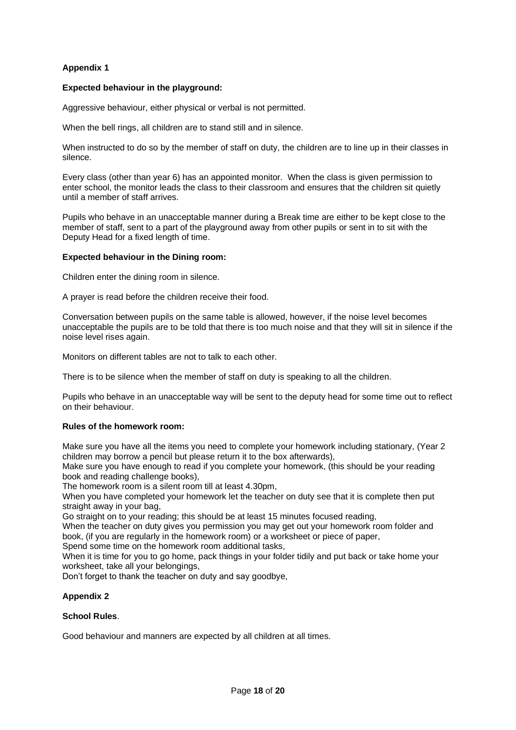# <span id="page-17-0"></span>**Appendix 1**

## **Expected behaviour in the playground:**

Aggressive behaviour, either physical or verbal is not permitted.

When the bell rings, all children are to stand still and in silence.

When instructed to do so by the member of staff on duty, the children are to line up in their classes in silence.

Every class (other than year 6) has an appointed monitor. When the class is given permission to enter school, the monitor leads the class to their classroom and ensures that the children sit quietly until a member of staff arrives.

Pupils who behave in an unacceptable manner during a Break time are either to be kept close to the member of staff, sent to a part of the playground away from other pupils or sent in to sit with the Deputy Head for a fixed length of time.

## **Expected behaviour in the Dining room:**

Children enter the dining room in silence.

A prayer is read before the children receive their food.

Conversation between pupils on the same table is allowed, however, if the noise level becomes unacceptable the pupils are to be told that there is too much noise and that they will sit in silence if the noise level rises again.

Monitors on different tables are not to talk to each other.

There is to be silence when the member of staff on duty is speaking to all the children.

Pupils who behave in an unacceptable way will be sent to the deputy head for some time out to reflect on their behaviour.

# **Rules of the homework room:**

Make sure you have all the items you need to complete your homework including stationary, (Year 2 children may borrow a pencil but please return it to the box afterwards),

Make sure you have enough to read if you complete your homework, (this should be your reading book and reading challenge books),

The homework room is a silent room till at least 4.30pm,

When you have completed your homework let the teacher on duty see that it is complete then put straight away in your bag,

Go straight on to your reading; this should be at least 15 minutes focused reading,

When the teacher on duty gives you permission you may get out your homework room folder and book, (if you are regularly in the homework room) or a worksheet or piece of paper,

Spend some time on the homework room additional tasks,

When it is time for you to go home, pack things in your folder tidily and put back or take home your worksheet, take all your belongings,

Don't forget to thank the teacher on duty and say goodbye,

# <span id="page-17-1"></span>**Appendix 2**

## **School Rules**.

Good behaviour and manners are expected by all children at all times.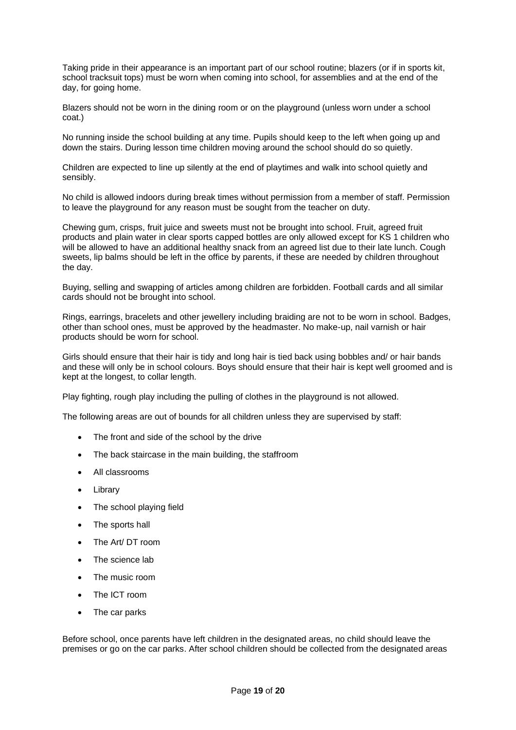Taking pride in their appearance is an important part of our school routine; blazers (or if in sports kit, school tracksuit tops) must be worn when coming into school, for assemblies and at the end of the day, for going home.

Blazers should not be worn in the dining room or on the playground (unless worn under a school coat.)

No running inside the school building at any time. Pupils should keep to the left when going up and down the stairs. During lesson time children moving around the school should do so quietly.

Children are expected to line up silently at the end of playtimes and walk into school quietly and sensibly.

No child is allowed indoors during break times without permission from a member of staff. Permission to leave the playground for any reason must be sought from the teacher on duty.

Chewing gum, crisps, fruit juice and sweets must not be brought into school. Fruit, agreed fruit products and plain water in clear sports capped bottles are only allowed except for KS 1 children who will be allowed to have an additional healthy snack from an agreed list due to their late lunch. Cough sweets, lip balms should be left in the office by parents, if these are needed by children throughout the day.

Buying, selling and swapping of articles among children are forbidden. Football cards and all similar cards should not be brought into school.

Rings, earrings, bracelets and other jewellery including braiding are not to be worn in school. Badges, other than school ones, must be approved by the headmaster. No make-up, nail varnish or hair products should be worn for school.

Girls should ensure that their hair is tidy and long hair is tied back using bobbles and/ or hair bands and these will only be in school colours. Boys should ensure that their hair is kept well groomed and is kept at the longest, to collar length.

Play fighting, rough play including the pulling of clothes in the playground is not allowed.

The following areas are out of bounds for all children unless they are supervised by staff:

- The front and side of the school by the drive
- The back staircase in the main building, the staffroom
- All classrooms
- Library
- The school playing field
- The sports hall
- The Art/ DT room
- The science lab
- The music room
- The ICT room
- The car parks

Before school, once parents have left children in the designated areas, no child should leave the premises or go on the car parks. After school children should be collected from the designated areas